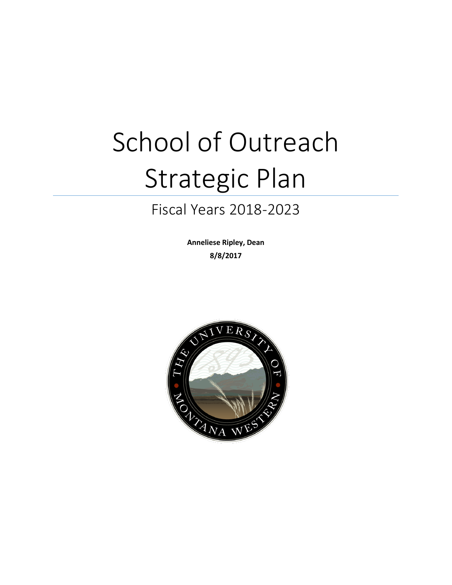# School of Outreach Strategic Plan

# Fiscal Years 2018-2023

**Anneliese Ripley, Dean 8/8/2017**

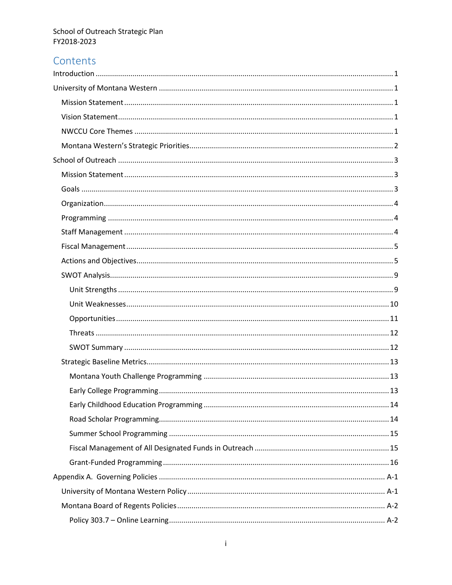# Contents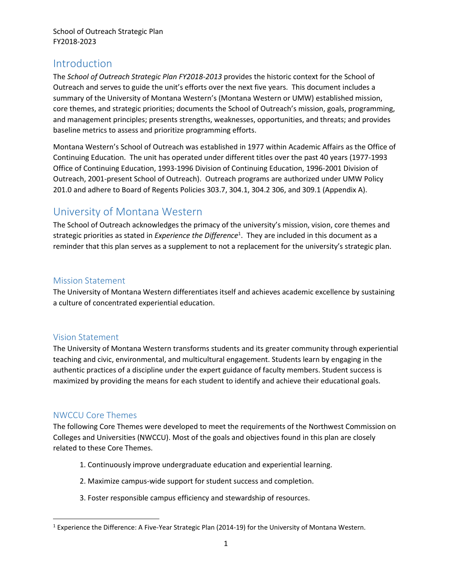# <span id="page-3-0"></span>Introduction

The *School of Outreach Strategic Plan FY2018-2013* provides the historic context for the School of Outreach and serves to guide the unit's efforts over the next five years. This document includes a summary of the University of Montana Western's (Montana Western or UMW) established mission, core themes, and strategic priorities; documents the School of Outreach's mission, goals, programming, and management principles; presents strengths, weaknesses, opportunities, and threats; and provides baseline metrics to assess and prioritize programming efforts.

Montana Western's School of Outreach was established in 1977 within Academic Affairs as the Office of Continuing Education. The unit has operated under different titles over the past 40 years (1977-1993 Office of Continuing Education, 1993-1996 Division of Continuing Education, 1996-2001 Division of Outreach, 2001-present School of Outreach). Outreach programs are authorized under UMW Policy 201.0 and adhere to Board of Regents Policies 303.7, 304.1, 304.2 306, and 309.1 (Appendix A).

# <span id="page-3-1"></span>University of Montana Western

The School of Outreach acknowledges the primacy of the university's mission, vision, core themes and strategic priorities as stated in *Experience the Difference*<sup>1</sup> . They are included in this document as a reminder that this plan serves as a supplement to not a replacement for the university's strategic plan.

# <span id="page-3-2"></span>Mission Statement

The University of Montana Western differentiates itself and achieves academic excellence by sustaining a culture of concentrated experiential education.

# <span id="page-3-3"></span>Vision Statement

The University of Montana Western transforms students and its greater community through experiential teaching and civic, environmental, and multicultural engagement. Students learn by engaging in the authentic practices of a discipline under the expert guidance of faculty members. Student success is maximized by providing the means for each student to identify and achieve their educational goals.

# <span id="page-3-4"></span>NWCCU Core Themes

 $\overline{\phantom{a}}$ 

The following Core Themes were developed to meet the requirements of the Northwest Commission on Colleges and Universities (NWCCU). Most of the goals and objectives found in this plan are closely related to these Core Themes.

- 1. Continuously improve undergraduate education and experiential learning.
- 2. Maximize campus-wide support for student success and completion.
- 3. Foster responsible campus efficiency and stewardship of resources.

<sup>&</sup>lt;sup>1</sup> Experience the Difference: A Five-Year Strategic Plan (2014-19) for the University of Montana Western.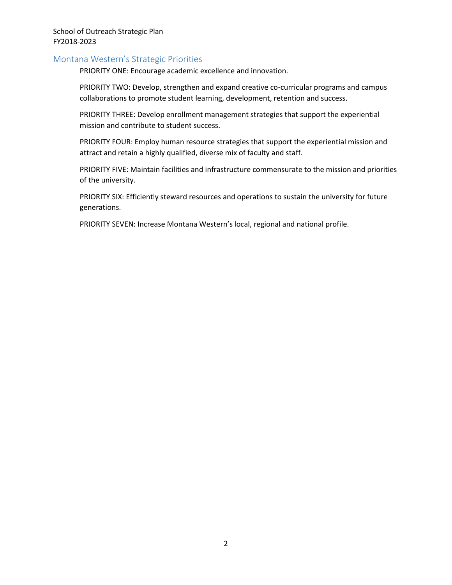## <span id="page-4-0"></span>Montana Western's Strategic Priorities

PRIORITY ONE: Encourage academic excellence and innovation.

PRIORITY TWO: Develop, strengthen and expand creative co-curricular programs and campus collaborations to promote student learning, development, retention and success.

PRIORITY THREE: Develop enrollment management strategies that support the experiential mission and contribute to student success.

PRIORITY FOUR: Employ human resource strategies that support the experiential mission and attract and retain a highly qualified, diverse mix of faculty and staff.

PRIORITY FIVE: Maintain facilities and infrastructure commensurate to the mission and priorities of the university.

PRIORITY SIX: Efficiently steward resources and operations to sustain the university for future generations.

PRIORITY SEVEN: Increase Montana Western's local, regional and national profile.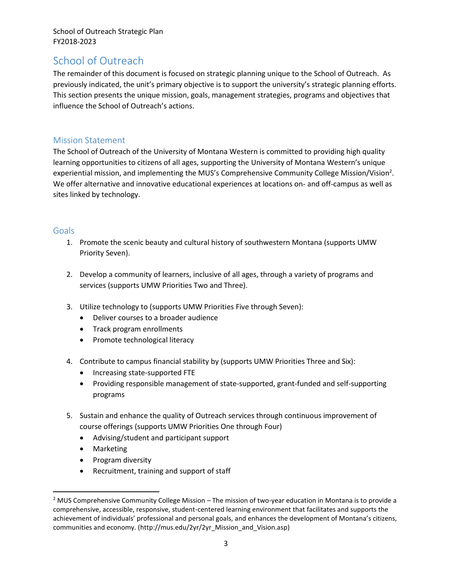# <span id="page-5-0"></span>School of Outreach

The remainder of this document is focused on strategic planning unique to the School of Outreach. As previously indicated, the unit's primary objective is to support the university's strategic planning efforts. This section presents the unique mission, goals, management strategies, programs and objectives that influence the School of Outreach's actions.

# <span id="page-5-1"></span>Mission Statement

The School of Outreach of the University of Montana Western is committed to providing high quality learning opportunities to citizens of all ages, supporting the University of Montana Western's unique experiential mission, and implementing the MUS's Comprehensive Community College Mission/Vision<sup>2</sup>. We offer alternative and innovative educational experiences at locations on- and off-campus as well as sites linked by technology.

# <span id="page-5-2"></span>**Goals**

- 1. Promote the scenic beauty and cultural history of southwestern Montana (supports UMW Priority Seven).
- 2. Develop a community of learners, inclusive of all ages, through a variety of programs and services (supports UMW Priorities Two and Three).
- 3. Utilize technology to (supports UMW Priorities Five through Seven):
	- Deliver courses to a broader audience
	- Track program enrollments
	- Promote technological literacy
- 4. Contribute to campus financial stability by (supports UMW Priorities Three and Six):
	- Increasing state-supported FTE
	- Providing responsible management of state-supported, grant-funded and self-supporting programs
- 5. Sustain and enhance the quality of Outreach services through continuous improvement of course offerings (supports UMW Priorities One through Four)
	- Advising/student and participant support
	- Marketing

 $\overline{a}$ 

- Program diversity
- Recruitment, training and support of staff

 $2$  MUS Comprehensive Community College Mission – The mission of two-year education in Montana is to provide a comprehensive, accessible, responsive, student-centered learning environment that facilitates and supports the achievement of individuals' professional and personal goals, and enhances the development of Montana's citizens, communities and economy. (http://mus.edu/2yr/2yr\_Mission\_and\_Vision.asp)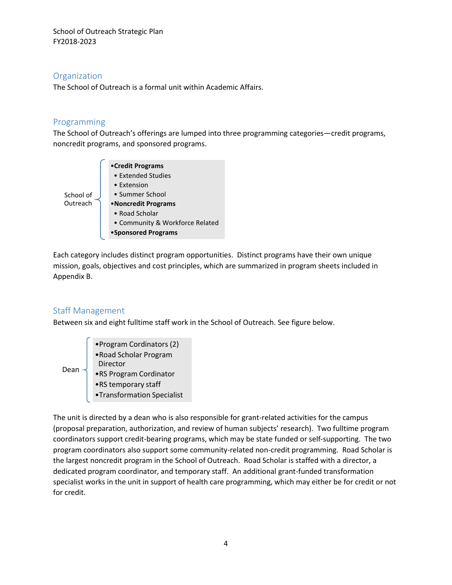# <span id="page-6-0"></span>**Organization**

The School of Outreach is a formal unit within Academic Affairs.

# <span id="page-6-1"></span>Programming

The School of Outreach's offerings are lumped into three programming categories—credit programs, noncredit programs, and sponsored programs.



Each category includes distinct program opportunities. Distinct programs have their own unique mission, goals, objectives and cost principles, which are summarized in program sheets included in Appendix B.

# <span id="page-6-2"></span>Staff Management

Between six and eight fulltime staff work in the School of Outreach. See figure below.

- •Program Cordinators (2)
- •Road Scholar Program Director
- Dean
	- •RS Program Cordinator
	- •RS temporary staff
	- •Transformation Specialist

The unit is directed by a dean who is also responsible for grant-related activities for the campus (proposal preparation, authorization, and review of human subjects' research). Two fulltime program coordinators support credit-bearing programs, which may be state funded or self-supporting. The two program coordinators also support some community-related non-credit programming. Road Scholar is the largest noncredit program in the School of Outreach. Road Scholar is staffed with a director, a dedicated program coordinator, and temporary staff. An additional grant-funded transformation specialist works in the unit in support of health care programming, which may either be for credit or not for credit.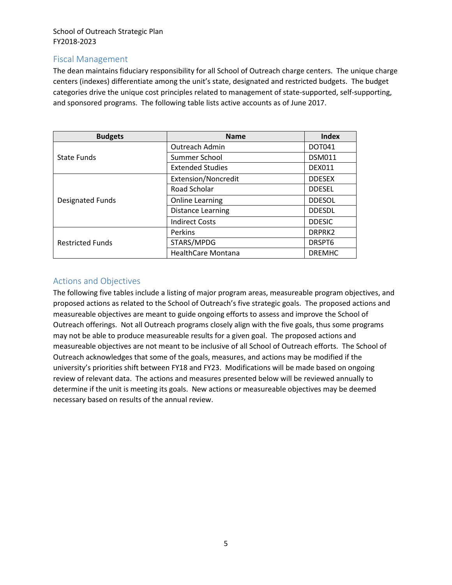# <span id="page-7-0"></span>Fiscal Management

The dean maintains fiduciary responsibility for all School of Outreach charge centers. The unique charge centers (indexes) differentiate among the unit's state, designated and restricted budgets. The budget categories drive the unique cost principles related to management of state-supported, self-supporting, and sponsored programs. The following table lists active accounts as of June 2017.

| <b>Budgets</b>          | <b>Name</b>               | Index         |
|-------------------------|---------------------------|---------------|
|                         | Outreach Admin            | <b>DOT041</b> |
| State Funds             | Summer School             | <b>DSM011</b> |
|                         | <b>Extended Studies</b>   | <b>DEX011</b> |
|                         | Extension/Noncredit       | <b>DDESEX</b> |
|                         | Road Scholar              | <b>DDESEL</b> |
| Designated Funds        | <b>Online Learning</b>    | <b>DDESOL</b> |
|                         | Distance Learning         | <b>DDESDL</b> |
|                         | <b>Indirect Costs</b>     | <b>DDESIC</b> |
|                         | Perkins                   | DRPRK2        |
| <b>Restricted Funds</b> | STARS/MPDG                | DRSPT6        |
|                         | <b>HealthCare Montana</b> | <b>DREMHC</b> |

# <span id="page-7-1"></span>Actions and Objectives

The following five tables include a listing of major program areas, measureable program objectives, and proposed actions as related to the School of Outreach's five strategic goals. The proposed actions and measureable objectives are meant to guide ongoing efforts to assess and improve the School of Outreach offerings. Not all Outreach programs closely align with the five goals, thus some programs may not be able to produce measureable results for a given goal. The proposed actions and measureable objectives are not meant to be inclusive of all School of Outreach efforts. The School of Outreach acknowledges that some of the goals, measures, and actions may be modified if the university's priorities shift between FY18 and FY23. Modifications will be made based on ongoing review of relevant data. The actions and measures presented below will be reviewed annually to determine if the unit is meeting its goals. New actions or measureable objectives may be deemed necessary based on results of the annual review.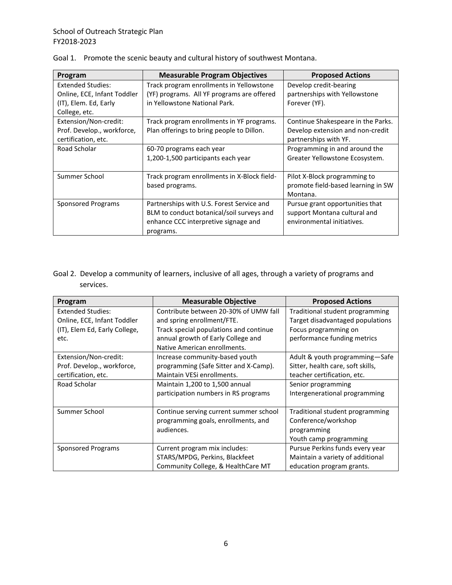| Program                                                                          | <b>Measurable Program Objectives</b>                                                                                                        | <b>Proposed Actions</b>                                                                         |
|----------------------------------------------------------------------------------|---------------------------------------------------------------------------------------------------------------------------------------------|-------------------------------------------------------------------------------------------------|
| <b>Extended Studies:</b><br>Online, ECE, Infant Toddler<br>(IT), Elem. Ed, Early | Track program enrollments in Yellowstone<br>(YF) programs. All YF programs are offered<br>in Yellowstone National Park.                     | Develop credit-bearing<br>partnerships with Yellowstone<br>Forever (YF).                        |
| College, etc.                                                                    |                                                                                                                                             |                                                                                                 |
| Extension/Non-credit:<br>Prof. Develop., workforce,<br>certification, etc.       | Track program enrollments in YF programs.<br>Plan offerings to bring people to Dillon.                                                      | Continue Shakespeare in the Parks.<br>Develop extension and non-credit<br>partnerships with YF. |
| Road Scholar                                                                     | 60-70 programs each year<br>1,200-1,500 participants each year                                                                              | Programming in and around the<br>Greater Yellowstone Ecosystem.                                 |
| Summer School                                                                    | Track program enrollments in X-Block field-<br>based programs.                                                                              | Pilot X-Block programming to<br>promote field-based learning in SW<br>Montana.                  |
| Sponsored Programs                                                               | Partnerships with U.S. Forest Service and<br>BLM to conduct botanical/soil surveys and<br>enhance CCC interpretive signage and<br>programs. | Pursue grant opportunities that<br>support Montana cultural and<br>environmental initiatives.   |

|  | Goal 1. Promote the scenic beauty and cultural history of southwest Montana. |  |
|--|------------------------------------------------------------------------------|--|
|--|------------------------------------------------------------------------------|--|

Goal 2. Develop a community of learners, inclusive of all ages, through a variety of programs and services.

| Program                       | <b>Measurable Objective</b>            | <b>Proposed Actions</b>           |
|-------------------------------|----------------------------------------|-----------------------------------|
| <b>Extended Studies:</b>      | Contribute between 20-30% of UMW fall  | Traditional student programming   |
| Online, ECE, Infant Toddler   | and spring enrollment/FTE.             | Target disadvantaged populations  |
| (IT), Elem Ed, Early College, | Track special populations and continue | Focus programming on              |
| etc.                          | annual growth of Early College and     | performance funding metrics       |
|                               | Native American enrollments.           |                                   |
| Extension/Non-credit:         | Increase community-based youth         | Adult & youth programming-Safe    |
| Prof. Develop., workforce,    | programming (Safe Sitter and X-Camp).  | Sitter, health care, soft skills, |
| certification, etc.           | Maintain VESi enrollments.             | teacher certification, etc.       |
| Road Scholar                  | Maintain 1,200 to 1,500 annual         | Senior programming                |
|                               | participation numbers in RS programs   | Intergenerational programming     |
|                               |                                        |                                   |
| Summer School                 | Continue serving current summer school | Traditional student programming   |
|                               | programming goals, enrollments, and    | Conference/workshop               |
|                               | audiences.                             | programming                       |
|                               |                                        | Youth camp programming            |
| <b>Sponsored Programs</b>     | Current program mix includes:          | Pursue Perkins funds every year   |
|                               | STARS/MPDG, Perkins, Blackfeet         | Maintain a variety of additional  |
|                               | Community College, & HealthCare MT     | education program grants.         |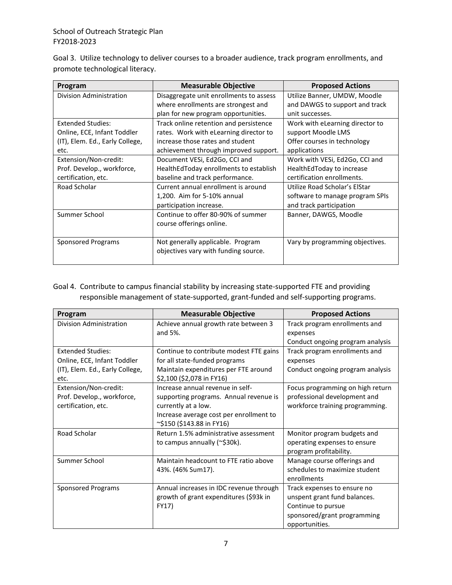Goal 3. Utilize technology to deliver courses to a broader audience, track program enrollments, and promote technological literacy.

| Program                         | <b>Measurable Objective</b>             | <b>Proposed Actions</b>         |
|---------------------------------|-----------------------------------------|---------------------------------|
| Division Administration         | Disaggregate unit enrollments to assess | Utilize Banner, UMDW, Moodle    |
|                                 | where enrollments are strongest and     | and DAWGS to support and track  |
|                                 | plan for new program opportunities.     | unit successes.                 |
| <b>Extended Studies:</b>        | Track online retention and persistence  | Work with eLearning director to |
| Online, ECE, Infant Toddler     | rates. Work with eLearning director to  | support Moodle LMS              |
| (IT), Elem. Ed., Early College, | increase those rates and student        | Offer courses in technology     |
| etc.                            | achievement through improved support.   | applications                    |
| Extension/Non-credit:           | Document VESi, Ed2Go, CCI and           | Work with VESi, Ed2Go, CCI and  |
| Prof. Develop., workforce,      | HealthEdToday enrollments to establish  | HealthEdToday to increase       |
| certification, etc.             | baseline and track performance.         | certification enrollments.      |
| Road Scholar                    | Current annual enrollment is around     | Utilize Road Scholar's ElStar   |
|                                 | 1,200. Aim for 5-10% annual             | software to manage program SPIs |
|                                 | participation increase.                 | and track participation         |
| Summer School                   | Continue to offer 80-90% of summer      | Banner, DAWGS, Moodle           |
|                                 | course offerings online.                |                                 |
|                                 |                                         |                                 |
| <b>Sponsored Programs</b>       | Not generally applicable. Program       | Vary by programming objectives. |
|                                 | objectives vary with funding source.    |                                 |
|                                 |                                         |                                 |

# Goal 4. Contribute to campus financial stability by increasing state-supported FTE and providing responsible management of state-supported, grant-funded and self-supporting programs.

| Program                         | <b>Measurable Objective</b>             | <b>Proposed Actions</b>          |
|---------------------------------|-----------------------------------------|----------------------------------|
| Division Administration         | Achieve annual growth rate between 3    | Track program enrollments and    |
|                                 | and 5%.                                 | expenses                         |
|                                 |                                         | Conduct ongoing program analysis |
| <b>Extended Studies:</b>        | Continue to contribute modest FTE gains | Track program enrollments and    |
| Online, ECE, Infant Toddler     | for all state-funded programs           | expenses                         |
| (IT), Elem. Ed., Early College, | Maintain expenditures per FTE around    | Conduct ongoing program analysis |
| etc.                            | \$2,100 (\$2,078 in FY16)               |                                  |
| Extension/Non-credit:           | Increase annual revenue in self-        | Focus programming on high return |
| Prof. Develop., workforce,      | supporting programs. Annual revenue is  | professional development and     |
| certification, etc.             | currently at a low.                     | workforce training programming.  |
|                                 | Increase average cost per enrollment to |                                  |
|                                 | ~\$150 (\$143.88 in FY16)               |                                  |
| Road Scholar                    | Return 1.5% administrative assessment   | Monitor program budgets and      |
|                                 | to campus annually (~\$30k).            | operating expenses to ensure     |
|                                 |                                         | program profitability.           |
| Summer School                   | Maintain headcount to FTE ratio above   | Manage course offerings and      |
|                                 | 43%. (46% Sum17).                       | schedules to maximize student    |
|                                 |                                         | enrollments                      |
| <b>Sponsored Programs</b>       | Annual increases in IDC revenue through | Track expenses to ensure no      |
|                                 | growth of grant expenditures (\$93k in  | unspent grant fund balances.     |
|                                 | FY17)                                   | Continue to pursue               |
|                                 |                                         | sponsored/grant programming      |
|                                 |                                         | opportunities.                   |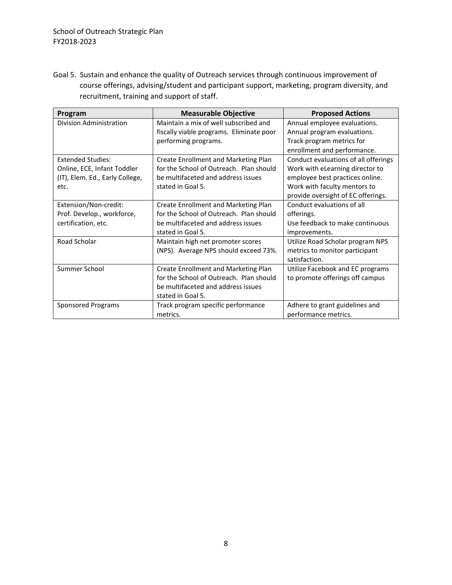Goal 5. Sustain and enhance the quality of Outreach services through continuous improvement of course offerings, advising/student and participant support, marketing, program diversity, and recruitment, training and support of staff.

| Program                                                                                            | <b>Measurable Objective</b>                                                                                                                       | <b>Proposed Actions</b>                                                                                                                                                          |
|----------------------------------------------------------------------------------------------------|---------------------------------------------------------------------------------------------------------------------------------------------------|----------------------------------------------------------------------------------------------------------------------------------------------------------------------------------|
| Division Administration                                                                            | Maintain a mix of well subscribed and<br>fiscally viable programs. Eliminate poor<br>performing programs.                                         | Annual employee evaluations.<br>Annual program evaluations.<br>Track program metrics for<br>enrollment and performance.                                                          |
| <b>Extended Studies:</b><br>Online, ECE, Infant Toddler<br>(IT), Elem. Ed., Early College,<br>etc. | <b>Create Enrollment and Marketing Plan</b><br>for the School of Outreach. Plan should<br>be multifaceted and address issues<br>stated in Goal 5. | Conduct evaluations of all offerings<br>Work with eLearning director to<br>employee best practices online.<br>Work with faculty mentors to<br>provide oversight of EC offerings. |
| Extension/Non-credit:<br>Prof. Develop., workforce,<br>certification, etc.                         | Create Enrollment and Marketing Plan<br>for the School of Outreach. Plan should<br>be multifaceted and address issues<br>stated in Goal 5.        | Conduct evaluations of all<br>offerings.<br>Use feedback to make continuous<br>improvements.                                                                                     |
| Road Scholar                                                                                       | Maintain high net promoter scores<br>(NPS). Average NPS should exceed 73%.                                                                        | Utilize Road Scholar program NPS<br>metrics to monitor participant<br>satisfaction.                                                                                              |
| Summer School                                                                                      | Create Enrollment and Marketing Plan<br>for the School of Outreach. Plan should<br>be multifaceted and address issues<br>stated in Goal 5.        | Utilize Facebook and EC programs<br>to promote offerings off campus                                                                                                              |
| <b>Sponsored Programs</b>                                                                          | Track program specific performance<br>metrics.                                                                                                    | Adhere to grant guidelines and<br>performance metrics.                                                                                                                           |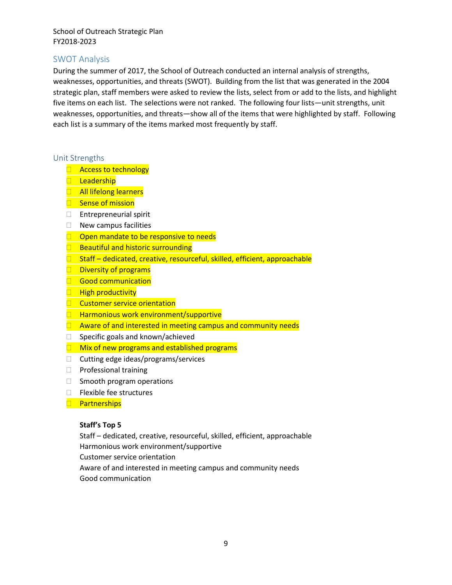# <span id="page-11-0"></span>SWOT Analysis

During the summer of 2017, the School of Outreach conducted an internal analysis of strengths, weaknesses, opportunities, and threats (SWOT). Building from the list that was generated in the 2004 strategic plan, staff members were asked to review the lists, select from or add to the lists, and highlight five items on each list. The selections were not ranked. The following four lists—unit strengths, unit weaknesses, opportunities, and threats—show all of the items that were highlighted by staff. Following each list is a summary of the items marked most frequently by staff.

#### <span id="page-11-1"></span>Unit Strengths

- **Access to technology**
- **Leadership**
- **All lifelong learners**
- Sense of mission
- Entrepreneurial spirit
- $\Box$  New campus facilities
- $\Box$  Open mandate to be responsive to needs
- $\Box$  Beautiful and historic surrounding
- $\Box$  Staff dedicated, creative, resourceful, skilled, efficient, approachable
- $\Box$  Diversity of programs
- Good communication
- **High productivity**
- **Customer service orientation**
- $\Box$  Harmonious work environment/supportive
- $\Box$  Aware of and interested in meeting campus and community needs
- $\Box$  Specific goals and known/achieved
- $\Box$  Mix of new programs and established programs
- $\Box$  Cutting edge ideas/programs/services
- $\Box$  Professional training
- $\Box$  Smooth program operations
- $\Box$  Flexible fee structures
- **Partnerships**

#### **Staff's Top 5**

Staff – dedicated, creative, resourceful, skilled, efficient, approachable Harmonious work environment/supportive Customer service orientation Aware of and interested in meeting campus and community needs Good communication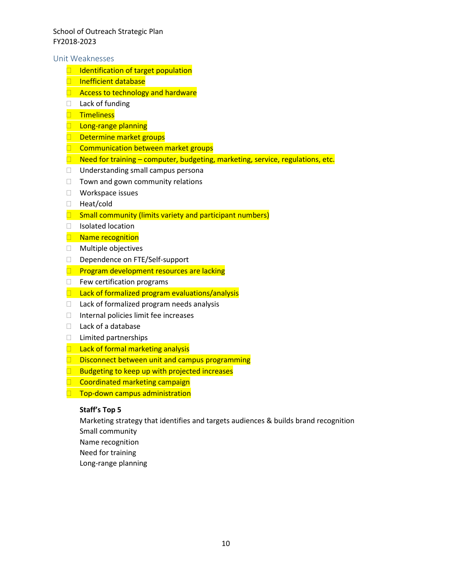<span id="page-12-0"></span>Unit Weaknesses

- $\Box$  Identification of target population
- **Inefficient database**
- $\Box$  Access to technology and hardware
- $\Box$  Lack of funding
- **Timeliness**
- **Long-range planning**
- $\Box$  Determine market groups
- $\Box$  Communication between market groups
- $\Box$  Need for training computer, budgeting, marketing, service, regulations, etc.
- □ Understanding small campus persona
- $\Box$  Town and gown community relations
- □ Workspace issues
- □ Heat/cold
- $\Box$  Small community (limits variety and participant numbers)
- □ Isolated location
- **Name recognition**
- Multiple objectives
- Dependence on FTE/Self-support
- $\Box$  Program development resources are lacking
- $\Box$  Few certification programs
- $\Box$  Lack of formalized program evaluations/analysis
- □ Lack of formalized program needs analysis
- $\Box$  Internal policies limit fee increases
- $\Box$  Lack of a database
- □ Limited partnerships
- $\Box$  Lack of formal marketing analysis
- $\square$  Disconnect between unit and campus programming
- $\Box$  Budgeting to keep up with projected increases
- □ Coordinated marketing campaign
- **Top-down campus administration**

#### **Staff's Top 5**

Marketing strategy that identifies and targets audiences & builds brand recognition Small community

- Name recognition
- Need for training
- Long-range planning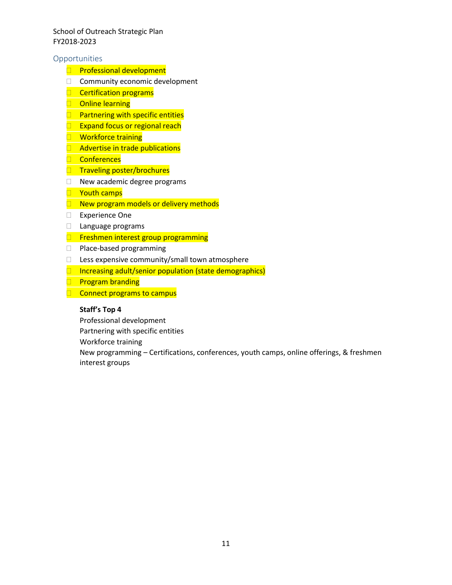#### <span id="page-13-0"></span>**Opportunities**

- **Professional development**
- $\Box$  Community economic development
- $\Box$  Certification programs
- **Online learning**
- $\Box$  Partnering with specific entities
- $\Box$  Expand focus or regional reach
- **Workforce training**
- **Advertise in trade publications**
- **Conferences**
- **Traveling poster/brochures**
- $\Box$  New academic degree programs
- **T** Youth camps
- $\Box$  New program models or delivery methods
- Experience One
- □ Language programs
- $\Box$  Freshmen interest group programming
- □ Place-based programming
- $\Box$  Less expensive community/small town atmosphere
- $\Box$  Increasing adult/senior population (state demographics)
- $\Box$  Program branding
- $\Box$  Connect programs to campus

#### **Staff's Top 4**

Professional development

Partnering with specific entities

Workforce training

New programming – Certifications, conferences, youth camps, online offerings, & freshmen interest groups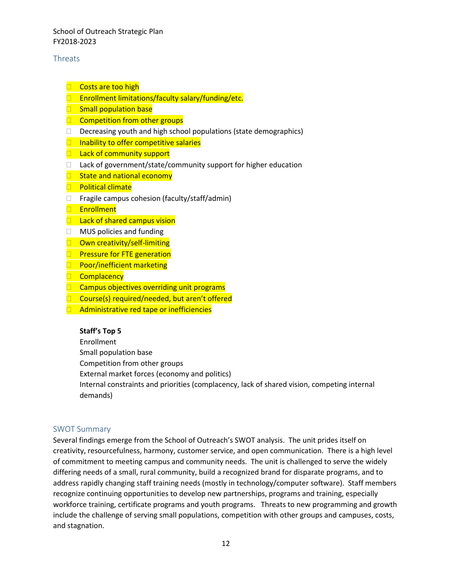# <span id="page-14-0"></span>**Threats**

- **Costs are too high**
- □ Enrollment limitations/faculty salary/funding/etc.
- **Small population base**
- $\Box$  Competition from other groups
- $\Box$  Decreasing youth and high school populations (state demographics)
- $\Box$  Inability to offer competitive salaries
- $\Box$  Lack of community support
- $\Box$  Lack of government/state/community support for higher education
- $\Box$  State and national economy
- **Political climate**
- $\Box$  Fragile campus cohesion (faculty/staff/admin)
- **Enrollment**
- $\Box$  Lack of shared campus vision
- □ MUS policies and funding
- **D** Own creativity/self-limiting
- **Pressure for FTE generation**
- **Poor/inefficient marketing**
- **Complacency**
- $\Box$  Campus objectives overriding unit programs
- □ Course(s) required/needed, but aren't offered
- $\Box$  Administrative red tape or inefficiencies

# **Staff's Top 5**

Enrollment

Small population base

Competition from other groups

External market forces (economy and politics)

Internal constraints and priorities (complacency, lack of shared vision, competing internal demands)

## <span id="page-14-1"></span>SWOT Summary

Several findings emerge from the School of Outreach's SWOT analysis. The unit prides itself on creativity, resourcefulness, harmony, customer service, and open communication. There is a high level of commitment to meeting campus and community needs. The unit is challenged to serve the widely differing needs of a small, rural community, build a recognized brand for disparate programs, and to address rapidly changing staff training needs (mostly in technology/computer software). Staff members recognize continuing opportunities to develop new partnerships, programs and training, especially workforce training, certificate programs and youth programs. Threats to new programming and growth include the challenge of serving small populations, competition with other groups and campuses, costs, and stagnation.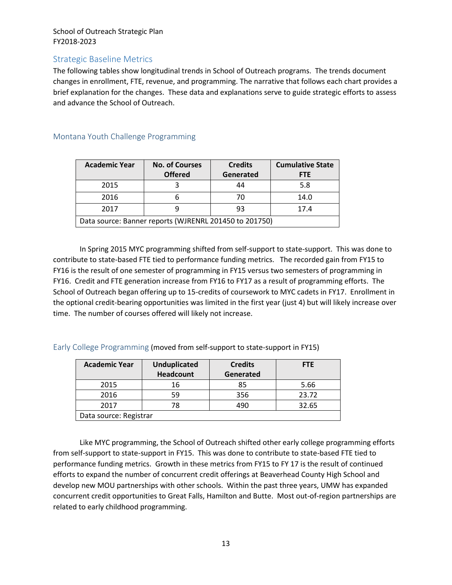# <span id="page-15-0"></span>Strategic Baseline Metrics

The following tables show longitudinal trends in School of Outreach programs. The trends document changes in enrollment, FTE, revenue, and programming. The narrative that follows each chart provides a brief explanation for the changes. These data and explanations serve to guide strategic efforts to assess and advance the School of Outreach.

| <b>Academic Year</b>                                   | <b>No. of Courses</b><br><b>Offered</b> | <b>Credits</b><br>Generated | <b>Cumulative State</b><br><b>FTE</b> |
|--------------------------------------------------------|-----------------------------------------|-----------------------------|---------------------------------------|
| 2015                                                   |                                         | 44                          | 5.8                                   |
| 2016                                                   |                                         | 70                          | 14.0                                  |
| 2017                                                   |                                         | 93                          | 17.4                                  |
| Data source: Banner reports (WJRENRL 201450 to 201750) |                                         |                             |                                       |

## <span id="page-15-1"></span>Montana Youth Challenge Programming

In Spring 2015 MYC programming shifted from self-support to state-support. This was done to contribute to state-based FTE tied to performance funding metrics. The recorded gain from FY15 to FY16 is the result of one semester of programming in FY15 versus two semesters of programming in FY16. Credit and FTE generation increase from FY16 to FY17 as a result of programming efforts. The School of Outreach began offering up to 15-credits of coursework to MYC cadets in FY17. Enrollment in the optional credit-bearing opportunities was limited in the first year (just 4) but will likely increase over time. The number of courses offered will likely not increase.

<span id="page-15-2"></span>Early College Programming (moved from self-support to state-support in FY15)

| <b>Academic Year</b>   | <b>Unduplicated</b> | <b>Credits</b> | <b>FTE</b> |
|------------------------|---------------------|----------------|------------|
|                        | <b>Headcount</b>    | Generated      |            |
| 2015                   | 16                  | 85             | 5.66       |
| 2016                   | 59                  | 356            | 23.72      |
| 2017                   | 78                  | 490            | 32.65      |
| Data source: Registrar |                     |                |            |

Like MYC programming, the School of Outreach shifted other early college programming efforts from self-support to state-support in FY15. This was done to contribute to state-based FTE tied to performance funding metrics. Growth in these metrics from FY15 to FY 17 is the result of continued efforts to expand the number of concurrent credit offerings at Beaverhead County High School and develop new MOU partnerships with other schools. Within the past three years, UMW has expanded concurrent credit opportunities to Great Falls, Hamilton and Butte. Most out-of-region partnerships are related to early childhood programming.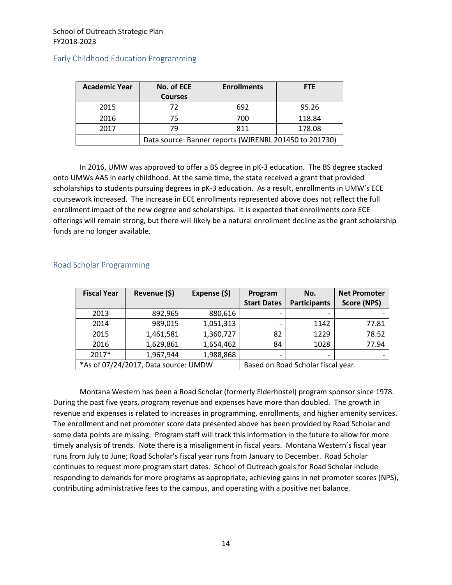| <b>Academic Year</b> | No. of ECE                                             | <b>Enrollments</b> | <b>FTE</b> |
|----------------------|--------------------------------------------------------|--------------------|------------|
|                      | <b>Courses</b>                                         |                    |            |
| 2015                 | 72                                                     | 692                | 95.26      |
| 2016                 | 75                                                     | 700                | 118.84     |
| 2017                 | 79                                                     | 811                | 178.08     |
|                      | Data source: Banner reports (WJRENRL 201450 to 201730) |                    |            |

#### <span id="page-16-0"></span>Early Childhood Education Programming

In 2016, UMW was approved to offer a BS degree in pK-3 education. The BS degree stacked onto UMWs AAS in early childhood. At the same time, the state received a grant that provided scholarships to students pursuing degrees in pK-3 education. As a result, enrollments in UMW's ECE coursework increased. The increase in ECE enrollments represented above does not reflect the full enrollment impact of the new degree and scholarships. It is expected that enrollments core ECE offerings will remain strong, but there will likely be a natural enrollment decline as the grant scholarship funds are no longer available.

| <b>Fiscal Year</b>                   | Revenue (\$) | Expense (\$) | Program                            | No.                 | <b>Net Promoter</b> |  |
|--------------------------------------|--------------|--------------|------------------------------------|---------------------|---------------------|--|
|                                      |              |              | <b>Start Dates</b>                 | <b>Participants</b> | Score (NPS)         |  |
| 2013                                 | 892,965      | 880,616      |                                    |                     |                     |  |
| 2014                                 | 989,015      | 1,051,313    |                                    | 1142                | 77.81               |  |
| 2015                                 | 1,461,581    | 1,360,727    | 82                                 | 1229                | 78.52               |  |
| 2016                                 | 1,629,861    | 1,654,462    | 84                                 | 1028                | 77.94               |  |
| 2017*                                | 1,967,944    | 1,988,868    |                                    |                     |                     |  |
| *As of 07/24/2017, Data source: UMDW |              |              | Based on Road Scholar fiscal year. |                     |                     |  |

#### <span id="page-16-1"></span>Road Scholar Programming

Montana Western has been a Road Scholar (formerly Elderhostel) program sponsor since 1978. During the past five years, program revenue and expenses have more than doubled. The growth in revenue and expenses is related to increases in programming, enrollments, and higher amenity services. The enrollment and net promoter score data presented above has been provided by Road Scholar and some data points are missing. Program staff will track this information in the future to allow for more timely analysis of trends. Note there is a misalignment in fiscal years. Montana Western's fiscal year runs from July to June; Road Scholar's fiscal year runs from January to December. Road Scholar continues to request more program start dates. School of Outreach goals for Road Scholar include responding to demands for more programs as appropriate, achieving gains in net promoter scores (NPS), contributing administrative fees to the campus, and operating with a positive net balance.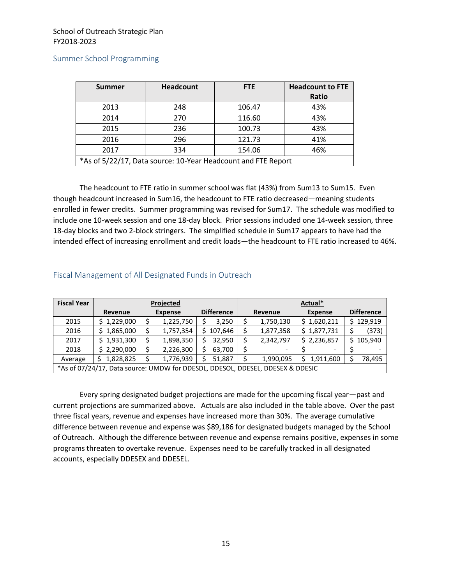<span id="page-17-0"></span>

| <b>Summer</b>                                                 | <b>Headcount</b> | <b>FTE</b> | <b>Headcount to FTE</b> |  |  |
|---------------------------------------------------------------|------------------|------------|-------------------------|--|--|
|                                                               |                  |            | Ratio                   |  |  |
| 2013                                                          | 248              | 106.47     | 43%                     |  |  |
| 2014                                                          | 270              | 116.60     | 43%                     |  |  |
| 2015                                                          | 236              | 100.73     | 43%                     |  |  |
| 2016                                                          | 296              | 121.73     | 41%                     |  |  |
| 2017                                                          | 334              | 154.06     | 46%                     |  |  |
| *As of 5/22/17, Data source: 10-Year Headcount and FTE Report |                  |            |                         |  |  |

The headcount to FTE ratio in summer school was flat (43%) from Sum13 to Sum15. Even though headcount increased in Sum16, the headcount to FTE ratio decreased—meaning students enrolled in fewer credits. Summer programming was revised for Sum17. The schedule was modified to include one 10-week session and one 18-day block. Prior sessions included one 14-week session, three 18-day blocks and two 2-block stringers. The simplified schedule in Sum17 appears to have had the intended effect of increasing enrollment and credit loads—the headcount to FTE ratio increased to 46%.

| <b>Fiscal Year</b>                                                             | Projected   |                |           |  |                   |         |           | Actual*        |             |                   |
|--------------------------------------------------------------------------------|-------------|----------------|-----------|--|-------------------|---------|-----------|----------------|-------------|-------------------|
|                                                                                | Revenue     | <b>Expense</b> |           |  | <b>Difference</b> | Revenue |           | <b>Expense</b> |             | <b>Difference</b> |
| 2015                                                                           | \$1,229,000 |                | 1,225,750 |  | 3,250             |         | 1,750,130 |                | \$1,620,211 | 129,919           |
| 2016                                                                           | 1,865,000   |                | 1,757,354 |  | \$107,646         |         | 1,877,358 |                | \$1,877,731 | (373)             |
| 2017                                                                           | 1,931,300   |                | 1,898,350 |  | 32,950            |         | 2,342,797 |                | \$2,236,857 | 105,940           |
| 2018                                                                           | \$2,290,000 |                | 2,226,300 |  | 63,700            |         | -         |                |             |                   |
| Average                                                                        | 1,828,825   |                | 1,776,939 |  | 51,887            |         | 1,990,095 |                | 1,911,600   | 78,495            |
| *As of 07/24/17, Data source: UMDW for DDESDL, DDESOL, DDESEL, DDESEX & DDESIC |             |                |           |  |                   |         |           |                |             |                   |

#### <span id="page-17-1"></span>Fiscal Management of All Designated Funds in Outreach

Every spring designated budget projections are made for the upcoming fiscal year—past and current projections are summarized above. Actuals are also included in the table above. Over the past three fiscal years, revenue and expenses have increased more than 30%. The average cumulative difference between revenue and expense was \$89,186 for designated budgets managed by the School of Outreach. Although the difference between revenue and expense remains positive, expenses in some programs threaten to overtake revenue. Expenses need to be carefully tracked in all designated accounts, especially DDESEX and DDESEL.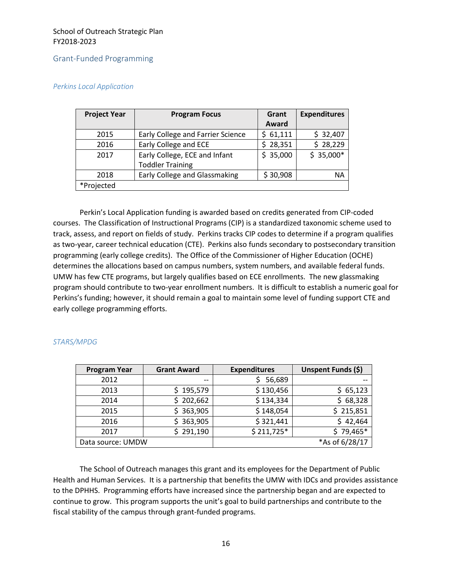#### <span id="page-18-0"></span>Grant-Funded Programming

#### *Perkins Local Application*

| <b>Program Focus</b>              | Grant        | <b>Expenditures</b> |  |
|-----------------------------------|--------------|---------------------|--|
|                                   | Award        |                     |  |
| Early College and Farrier Science | \$61,111     | \$32,407            |  |
| Early College and ECE             | 28,351<br>S. | \$28,229            |  |
| Early College, ECE and Infant     | \$35,000     | $$35,000*$          |  |
| <b>Toddler Training</b>           |              |                     |  |
| Early College and Glassmaking     | \$30,908     | ΝA                  |  |
|                                   |              |                     |  |
|                                   |              |                     |  |

Perkin's Local Application funding is awarded based on credits generated from CIP-coded courses. The Classification of Instructional Programs (CIP) is a standardized taxonomic scheme used to track, assess, and report on fields of study. Perkins tracks CIP codes to determine if a program qualifies as two-year, career technical education (CTE). Perkins also funds secondary to postsecondary transition programming (early college credits). The Office of the Commissioner of Higher Education (OCHE) determines the allocations based on campus numbers, system numbers, and available federal funds. UMW has few CTE programs, but largely qualifies based on ECE enrollments. The new glassmaking program should contribute to two-year enrollment numbers. It is difficult to establish a numeric goal for Perkins's funding; however, it should remain a goal to maintain some level of funding support CTE and early college programming efforts.

| <b>Program Year</b> | <b>Grant Award</b> | <b>Expenditures</b> | Unspent Funds (\$) |
|---------------------|--------------------|---------------------|--------------------|
| 2012                | $-$                | 56,689              |                    |
| 2013                | \$195,579          | \$130,456           | \$65,123           |
| 2014                | 202,662<br>S.      | \$134,334           | \$68,328           |
| 2015                | \$363,905          | \$148,054           | \$215,851          |
| 2016                | \$363,905          | \$321,441           | \$42,464           |
| 2017                | 291,190            | $$211,725*$         | $$79,465*$         |
| Data source: UMDW   |                    |                     | *As of 6/28/17     |

#### *STARS/MPDG*

The School of Outreach manages this grant and its employees for the Department of Public Health and Human Services. It is a partnership that benefits the UMW with IDCs and provides assistance to the DPHHS. Programming efforts have increased since the partnership began and are expected to continue to grow. This program supports the unit's goal to build partnerships and contribute to the fiscal stability of the campus through grant-funded programs.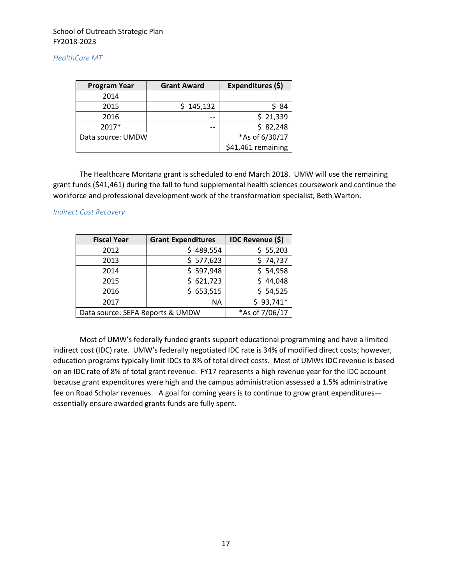#### *HealthCare MT*

| <b>Program Year</b> | <b>Grant Award</b> | Expenditures (\$)  |  |  |
|---------------------|--------------------|--------------------|--|--|
| 2014                |                    |                    |  |  |
| 2015                | \$145,132          | \$ 84              |  |  |
| 2016                | --                 | \$21,339           |  |  |
| 2017*               | --                 | \$82,248           |  |  |
| Data source: UMDW   | *As of 6/30/17     |                    |  |  |
|                     |                    | \$41,461 remaining |  |  |

The Healthcare Montana grant is scheduled to end March 2018. UMW will use the remaining grant funds (\$41,461) during the fall to fund supplemental health sciences coursework and continue the workforce and professional development work of the transformation specialist, Beth Warton.

#### *Indirect Cost Recovery*

| <b>Fiscal Year</b>               | <b>Grant Expenditures</b> | <b>IDC Revenue (\$)</b> |  |  |
|----------------------------------|---------------------------|-------------------------|--|--|
| 2012                             | \$489,554                 | \$55,203                |  |  |
| 2013                             | \$577,623                 | \$74,737                |  |  |
| 2014                             | \$597,948                 | \$54,958                |  |  |
| 2015                             | \$621,723                 | \$44,048                |  |  |
| 2016                             | \$653,515                 | \$54,525                |  |  |
| 2017                             | <b>NA</b>                 | $$93,741*$              |  |  |
| Data source: SEFA Reports & UMDW | *As of 7/06/17            |                         |  |  |

Most of UMW's federally funded grants support educational programming and have a limited indirect cost (IDC) rate. UMW's federally negotiated IDC rate is 34% of modified direct costs; however, education programs typically limit IDCs to 8% of total direct costs. Most of UMWs IDC revenue is based on an IDC rate of 8% of total grant revenue. FY17 represents a high revenue year for the IDC account because grant expenditures were high and the campus administration assessed a 1.5% administrative fee on Road Scholar revenues. A goal for coming years is to continue to grow grant expenditures essentially ensure awarded grants funds are fully spent.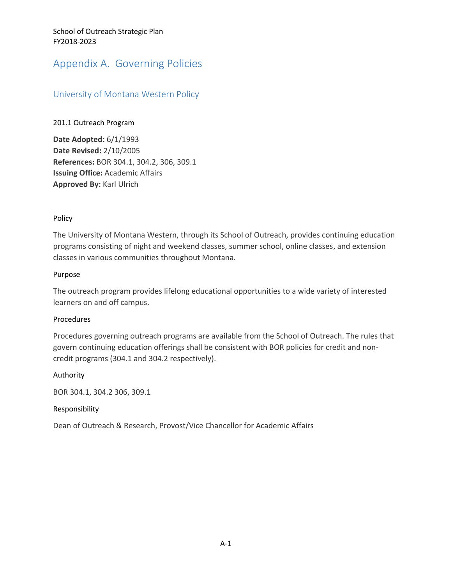# <span id="page-20-0"></span>Appendix A. Governing Policies

# <span id="page-20-1"></span>University of Montana Western Policy

#### 201.1 Outreach Program

**Date Adopted:** 6/1/1993 **Date Revised:** 2/10/2005 **References:** BOR 304.1, 304.2, 306, 309.1 **Issuing Office:** Academic Affairs **Approved By:** Karl Ulrich

#### Policy

The University of Montana Western, through its School of Outreach, provides continuing education programs consisting of night and weekend classes, summer school, online classes, and extension classes in various communities throughout Montana.

#### Purpose

The outreach program provides lifelong educational opportunities to a wide variety of interested learners on and off campus.

#### Procedures

Procedures governing outreach programs are available from the School of Outreach. The rules that govern continuing education offerings shall be consistent with BOR policies for credit and noncredit programs (304.1 and 304.2 respectively).

#### Authority

BOR 304.1, 304.2 306, 309.1

#### Responsibility

Dean of Outreach & Research, Provost/Vice Chancellor for Academic Affairs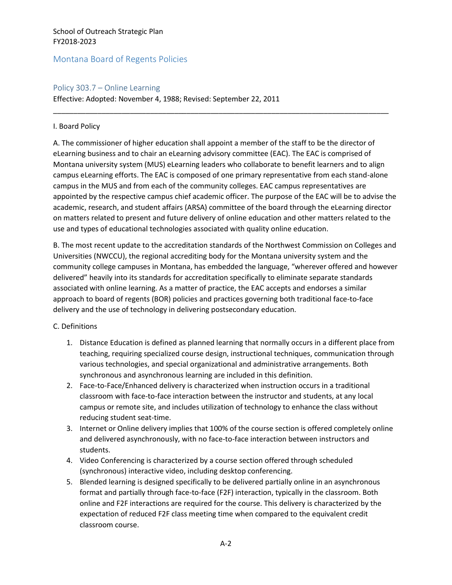# <span id="page-21-0"></span>Montana Board of Regents Policies

#### <span id="page-21-1"></span>Policy 303.7 – Online Learning

Effective: Adopted: November 4, 1988; Revised: September 22, 2011

#### I. Board Policy

A. The commissioner of higher education shall appoint a member of the staff to be the director of eLearning business and to chair an eLearning advisory committee (EAC). The EAC is comprised of Montana university system (MUS) eLearning leaders who collaborate to benefit learners and to align campus eLearning efforts. The EAC is composed of one primary representative from each stand-alone campus in the MUS and from each of the community colleges. EAC campus representatives are appointed by the respective campus chief academic officer. The purpose of the EAC will be to advise the academic, research, and student affairs (ARSA) committee of the board through the eLearning director on matters related to present and future delivery of online education and other matters related to the use and types of educational technologies associated with quality online education.

\_\_\_\_\_\_\_\_\_\_\_\_\_\_\_\_\_\_\_\_\_\_\_\_\_\_\_\_\_\_\_\_\_\_\_\_\_\_\_\_\_\_\_\_\_\_\_\_\_\_\_\_\_\_\_\_\_\_\_\_\_\_\_\_\_\_\_\_\_\_\_\_\_\_\_\_\_\_\_\_\_\_\_

B. The most recent update to the accreditation standards of the Northwest Commission on Colleges and Universities (NWCCU), the regional accrediting body for the Montana university system and the community college campuses in Montana, has embedded the language, "wherever offered and however delivered" heavily into its standards for accreditation specifically to eliminate separate standards associated with online learning. As a matter of practice, the EAC accepts and endorses a similar approach to board of regents (BOR) policies and practices governing both traditional face-to-face delivery and the use of technology in delivering postsecondary education.

#### C. Definitions

- 1. Distance Education is defined as planned learning that normally occurs in a different place from teaching, requiring specialized course design, instructional techniques, communication through various technologies, and special organizational and administrative arrangements. Both synchronous and asynchronous learning are included in this definition.
- 2. Face-to-Face/Enhanced delivery is characterized when instruction occurs in a traditional classroom with face-to-face interaction between the instructor and students, at any local campus or remote site, and includes utilization of technology to enhance the class without reducing student seat-time.
- 3. Internet or Online delivery implies that 100% of the course section is offered completely online and delivered asynchronously, with no face-to-face interaction between instructors and students.
- 4. Video Conferencing is characterized by a course section offered through scheduled (synchronous) interactive video, including desktop conferencing.
- 5. Blended learning is designed specifically to be delivered partially online in an asynchronous format and partially through face-to-face (F2F) interaction, typically in the classroom. Both online and F2F interactions are required for the course. This delivery is characterized by the expectation of reduced F2F class meeting time when compared to the equivalent credit classroom course.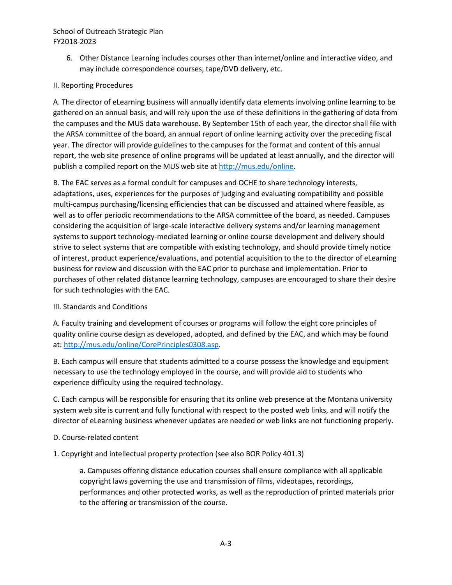6. Other Distance Learning includes courses other than internet/online and interactive video, and may include correspondence courses, tape/DVD delivery, etc.

# II. Reporting Procedures

A. The director of eLearning business will annually identify data elements involving online learning to be gathered on an annual basis, and will rely upon the use of these definitions in the gathering of data from the campuses and the MUS data warehouse. By September 15th of each year, the director shall file with the ARSA committee of the board, an annual report of online learning activity over the preceding fiscal year. The director will provide guidelines to the campuses for the format and content of this annual report, the web site presence of online programs will be updated at least annually, and the director will publish a compiled report on the MUS web site a[t http://mus.edu/online.](http://mus.edu/online)

B. The EAC serves as a formal conduit for campuses and OCHE to share technology interests, adaptations, uses, experiences for the purposes of judging and evaluating compatibility and possible multi-campus purchasing/licensing efficiencies that can be discussed and attained where feasible, as well as to offer periodic recommendations to the ARSA committee of the board, as needed. Campuses considering the acquisition of large-scale interactive delivery systems and/or learning management systems to support technology-mediated learning or online course development and delivery should strive to select systems that are compatible with existing technology, and should provide timely notice of interest, product experience/evaluations, and potential acquisition to the to the director of eLearning business for review and discussion with the EAC prior to purchase and implementation. Prior to purchases of other related distance learning technology, campuses are encouraged to share their desire for such technologies with the EAC.

## III. Standards and Conditions

A. Faculty training and development of courses or programs will follow the eight core principles of quality online course design as developed, adopted, and defined by the EAC, and which may be found at: [http://mus.edu/online/CorePrinciples0308.asp.](http://mus.edu/online/CorePrinciples0308.asp)

B. Each campus will ensure that students admitted to a course possess the knowledge and equipment necessary to use the technology employed in the course, and will provide aid to students who experience difficulty using the required technology.

C. Each campus will be responsible for ensuring that its online web presence at the Montana university system web site is current and fully functional with respect to the posted web links, and will notify the director of eLearning business whenever updates are needed or web links are not functioning properly.

- D. Course-related content
- 1. Copyright and intellectual property protection (see also BOR Policy 401.3)

a. Campuses offering distance education courses shall ensure compliance with all applicable copyright laws governing the use and transmission of films, videotapes, recordings, performances and other protected works, as well as the reproduction of printed materials prior to the offering or transmission of the course.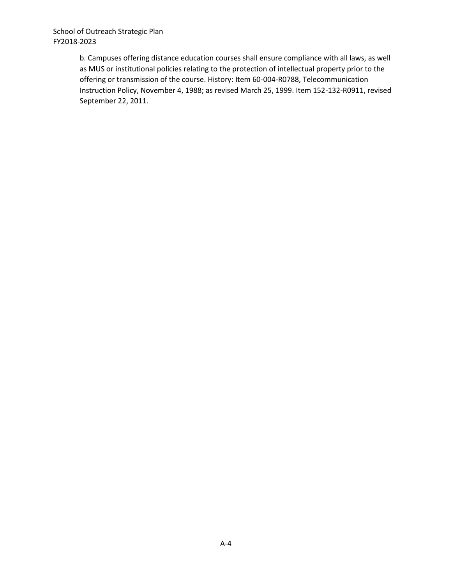b. Campuses offering distance education courses shall ensure compliance with all laws, as well as MUS or institutional policies relating to the protection of intellectual property prior to the offering or transmission of the course. History: Item 60-004-R0788, Telecommunication Instruction Policy, November 4, 1988; as revised March 25, 1999. Item 152-132-R0911, revised September 22, 2011.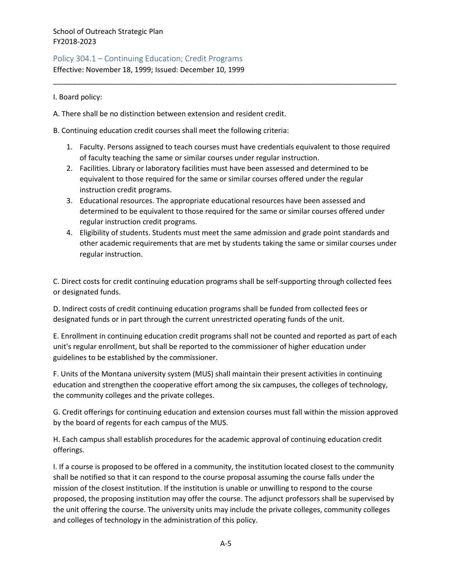<span id="page-24-0"></span>Policy 304.1 – Continuing Education; Credit Programs

Effective: November 18, 1999; Issued: December 10, 1999

I. Board policy:

A. There shall be no distinction between extension and resident credit.

B. Continuing education credit courses shall meet the following criteria:

1. Faculty. Persons assigned to teach courses must have credentials equivalent to those required of faculty teaching the same or similar courses under regular instruction.

\_\_\_\_\_\_\_\_\_\_\_\_\_\_\_\_\_\_\_\_\_\_\_\_\_\_\_\_\_\_\_\_\_\_\_\_\_\_\_\_\_\_\_\_\_\_\_\_\_\_\_\_\_\_\_\_\_\_\_\_\_\_\_\_\_\_\_\_\_\_\_\_\_\_\_\_\_\_\_\_\_\_\_\_\_

- 2. Facilities. Library or laboratory facilities must have been assessed and determined to be equivalent to those required for the same or similar courses offered under the regular instruction credit programs.
- 3. Educational resources. The appropriate educational resources have been assessed and determined to be equivalent to those required for the same or similar courses offered under regular instruction credit programs.
- 4. Eligibility of students. Students must meet the same admission and grade point standards and other academic requirements that are met by students taking the same or similar courses under regular instruction.

C. Direct costs for credit continuing education programs shall be self-supporting through collected fees or designated funds.

D. Indirect costs of credit continuing education programs shall be funded from collected fees or designated funds or in part through the current unrestricted operating funds of the unit.

E. Enrollment in continuing education credit programs shall not be counted and reported as part of each unit's regular enrollment, but shall be reported to the commissioner of higher education under guidelines to be established by the commissioner.

F. Units of the Montana university system (MUS) shall maintain their present activities in continuing education and strengthen the cooperative effort among the six campuses, the colleges of technology, the community colleges and the private colleges.

G. Credit offerings for continuing education and extension courses must fall within the mission approved by the board of regents for each campus of the MUS.

H. Each campus shall establish procedures for the academic approval of continuing education credit offerings.

I. If a course is proposed to be offered in a community, the institution located closest to the community shall be notified so that it can respond to the course proposal assuming the course falls under the mission of the closest institution. If the institution is unable or unwilling to respond to the course proposed, the proposing institution may offer the course. The adjunct professors shall be supervised by the unit offering the course. The university units may include the private colleges, community colleges and colleges of technology in the administration of this policy.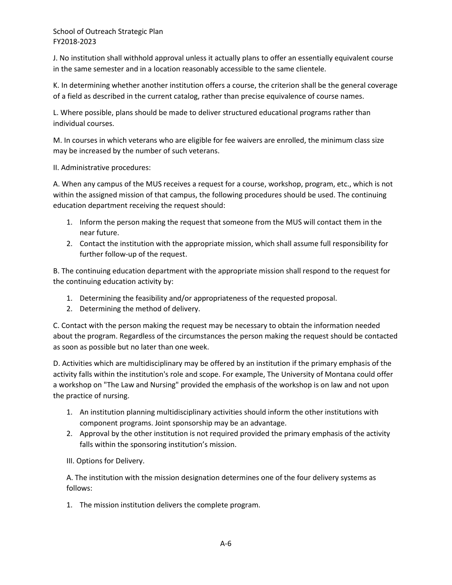J. No institution shall withhold approval unless it actually plans to offer an essentially equivalent course in the same semester and in a location reasonably accessible to the same clientele.

K. In determining whether another institution offers a course, the criterion shall be the general coverage of a field as described in the current catalog, rather than precise equivalence of course names.

L. Where possible, plans should be made to deliver structured educational programs rather than individual courses.

M. In courses in which veterans who are eligible for fee waivers are enrolled, the minimum class size may be increased by the number of such veterans.

II. Administrative procedures:

A. When any campus of the MUS receives a request for a course, workshop, program, etc., which is not within the assigned mission of that campus, the following procedures should be used. The continuing education department receiving the request should:

- 1. Inform the person making the request that someone from the MUS will contact them in the near future.
- 2. Contact the institution with the appropriate mission, which shall assume full responsibility for further follow-up of the request.

B. The continuing education department with the appropriate mission shall respond to the request for the continuing education activity by:

- 1. Determining the feasibility and/or appropriateness of the requested proposal.
- 2. Determining the method of delivery.

C. Contact with the person making the request may be necessary to obtain the information needed about the program. Regardless of the circumstances the person making the request should be contacted as soon as possible but no later than one week.

D. Activities which are multidisciplinary may be offered by an institution if the primary emphasis of the activity falls within the institution's role and scope. For example, The University of Montana could offer a workshop on "The Law and Nursing" provided the emphasis of the workshop is on law and not upon the practice of nursing.

- 1. An institution planning multidisciplinary activities should inform the other institutions with component programs. Joint sponsorship may be an advantage.
- 2. Approval by the other institution is not required provided the primary emphasis of the activity falls within the sponsoring institution's mission.

III. Options for Delivery.

A. The institution with the mission designation determines one of the four delivery systems as follows:

1. The mission institution delivers the complete program.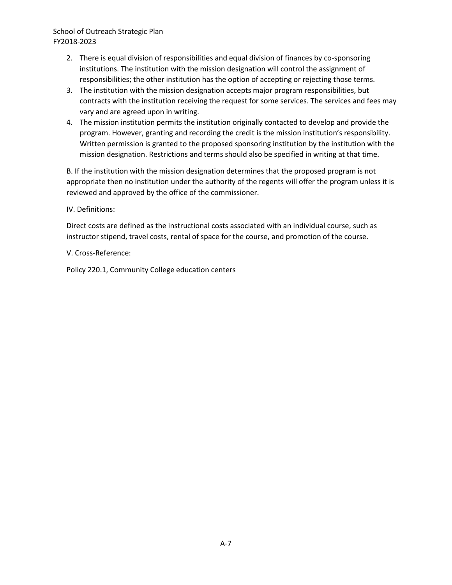- 2. There is equal division of responsibilities and equal division of finances by co-sponsoring institutions. The institution with the mission designation will control the assignment of responsibilities; the other institution has the option of accepting or rejecting those terms.
- 3. The institution with the mission designation accepts major program responsibilities, but contracts with the institution receiving the request for some services. The services and fees may vary and are agreed upon in writing.
- 4. The mission institution permits the institution originally contacted to develop and provide the program. However, granting and recording the credit is the mission institution's responsibility. Written permission is granted to the proposed sponsoring institution by the institution with the mission designation. Restrictions and terms should also be specified in writing at that time.

B. If the institution with the mission designation determines that the proposed program is not appropriate then no institution under the authority of the regents will offer the program unless it is reviewed and approved by the office of the commissioner.

#### IV. Definitions:

Direct costs are defined as the instructional costs associated with an individual course, such as instructor stipend, travel costs, rental of space for the course, and promotion of the course.

#### V. Cross-Reference:

Policy 220.1, Community College education centers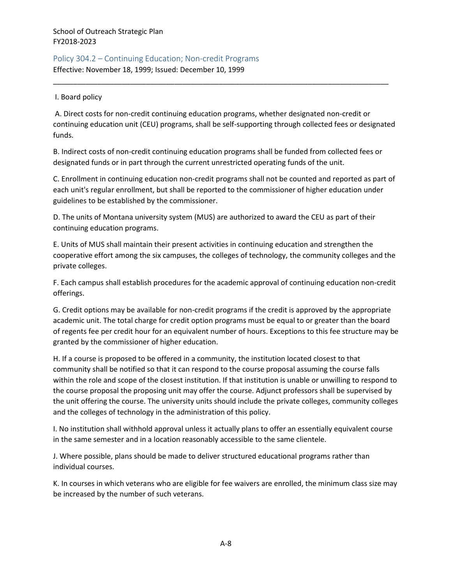# <span id="page-27-0"></span>Policy 304.2 – Continuing Education; Non-credit Programs Effective: November 18, 1999; Issued: December 10, 1999

#### I. Board policy

A. Direct costs for non-credit continuing education programs, whether designated non-credit or continuing education unit (CEU) programs, shall be self-supporting through collected fees or designated funds.

\_\_\_\_\_\_\_\_\_\_\_\_\_\_\_\_\_\_\_\_\_\_\_\_\_\_\_\_\_\_\_\_\_\_\_\_\_\_\_\_\_\_\_\_\_\_\_\_\_\_\_\_\_\_\_\_\_\_\_\_\_\_\_\_\_\_\_\_\_\_\_\_\_\_\_\_\_\_\_\_\_\_\_

B. Indirect costs of non-credit continuing education programs shall be funded from collected fees or designated funds or in part through the current unrestricted operating funds of the unit.

C. Enrollment in continuing education non-credit programs shall not be counted and reported as part of each unit's regular enrollment, but shall be reported to the commissioner of higher education under guidelines to be established by the commissioner.

D. The units of Montana university system (MUS) are authorized to award the CEU as part of their continuing education programs.

E. Units of MUS shall maintain their present activities in continuing education and strengthen the cooperative effort among the six campuses, the colleges of technology, the community colleges and the private colleges.

F. Each campus shall establish procedures for the academic approval of continuing education non-credit offerings.

G. Credit options may be available for non-credit programs if the credit is approved by the appropriate academic unit. The total charge for credit option programs must be equal to or greater than the board of regents fee per credit hour for an equivalent number of hours. Exceptions to this fee structure may be granted by the commissioner of higher education.

H. If a course is proposed to be offered in a community, the institution located closest to that community shall be notified so that it can respond to the course proposal assuming the course falls within the role and scope of the closest institution. If that institution is unable or unwilling to respond to the course proposal the proposing unit may offer the course. Adjunct professors shall be supervised by the unit offering the course. The university units should include the private colleges, community colleges and the colleges of technology in the administration of this policy.

I. No institution shall withhold approval unless it actually plans to offer an essentially equivalent course in the same semester and in a location reasonably accessible to the same clientele.

J. Where possible, plans should be made to deliver structured educational programs rather than individual courses.

K. In courses in which veterans who are eligible for fee waivers are enrolled, the minimum class size may be increased by the number of such veterans.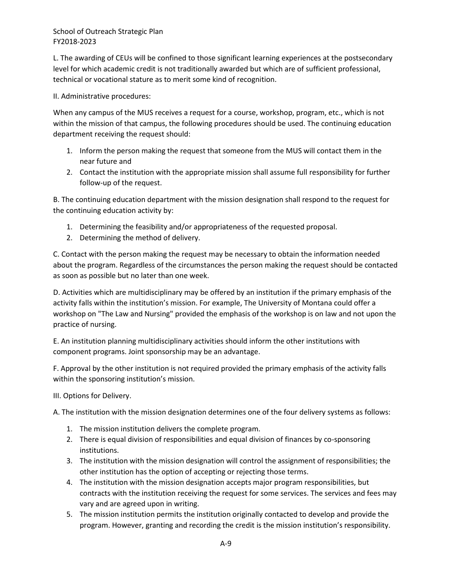L. The awarding of CEUs will be confined to those significant learning experiences at the postsecondary level for which academic credit is not traditionally awarded but which are of sufficient professional, technical or vocational stature as to merit some kind of recognition.

#### II. Administrative procedures:

When any campus of the MUS receives a request for a course, workshop, program, etc., which is not within the mission of that campus, the following procedures should be used. The continuing education department receiving the request should:

- 1. Inform the person making the request that someone from the MUS will contact them in the near future and
- 2. Contact the institution with the appropriate mission shall assume full responsibility for further follow-up of the request.

B. The continuing education department with the mission designation shall respond to the request for the continuing education activity by:

- 1. Determining the feasibility and/or appropriateness of the requested proposal.
- 2. Determining the method of delivery.

C. Contact with the person making the request may be necessary to obtain the information needed about the program. Regardless of the circumstances the person making the request should be contacted as soon as possible but no later than one week.

D. Activities which are multidisciplinary may be offered by an institution if the primary emphasis of the activity falls within the institution's mission. For example, The University of Montana could offer a workshop on "The Law and Nursing" provided the emphasis of the workshop is on law and not upon the practice of nursing.

E. An institution planning multidisciplinary activities should inform the other institutions with component programs. Joint sponsorship may be an advantage.

F. Approval by the other institution is not required provided the primary emphasis of the activity falls within the sponsoring institution's mission.

III. Options for Delivery.

A. The institution with the mission designation determines one of the four delivery systems as follows:

- 1. The mission institution delivers the complete program.
- 2. There is equal division of responsibilities and equal division of finances by co-sponsoring institutions.
- 3. The institution with the mission designation will control the assignment of responsibilities; the other institution has the option of accepting or rejecting those terms.
- 4. The institution with the mission designation accepts major program responsibilities, but contracts with the institution receiving the request for some services. The services and fees may vary and are agreed upon in writing.
- 5. The mission institution permits the institution originally contacted to develop and provide the program. However, granting and recording the credit is the mission institution's responsibility.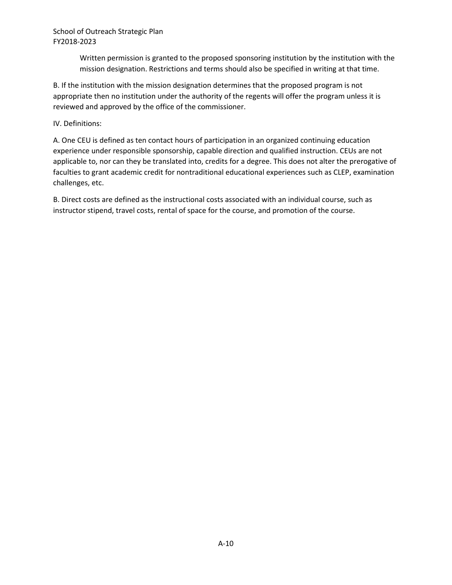Written permission is granted to the proposed sponsoring institution by the institution with the mission designation. Restrictions and terms should also be specified in writing at that time.

B. If the institution with the mission designation determines that the proposed program is not appropriate then no institution under the authority of the regents will offer the program unless it is reviewed and approved by the office of the commissioner.

IV. Definitions:

A. One CEU is defined as ten contact hours of participation in an organized continuing education experience under responsible sponsorship, capable direction and qualified instruction. CEUs are not applicable to, nor can they be translated into, credits for a degree. This does not alter the prerogative of faculties to grant academic credit for nontraditional educational experiences such as CLEP, examination challenges, etc.

B. Direct costs are defined as the instructional costs associated with an individual course, such as instructor stipend, travel costs, rental of space for the course, and promotion of the course.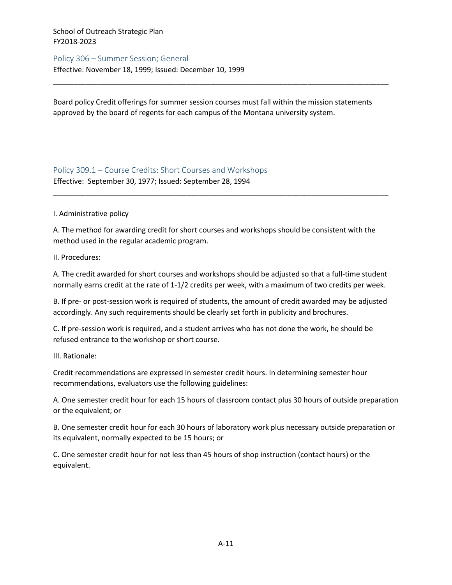#### <span id="page-30-0"></span>Policy 306 – Summer Session; General

Effective: November 18, 1999; Issued: December 10, 1999

Board policy Credit offerings for summer session courses must fall within the mission statements approved by the board of regents for each campus of the Montana university system.

\_\_\_\_\_\_\_\_\_\_\_\_\_\_\_\_\_\_\_\_\_\_\_\_\_\_\_\_\_\_\_\_\_\_\_\_\_\_\_\_\_\_\_\_\_\_\_\_\_\_\_\_\_\_\_\_\_\_\_\_\_\_\_\_\_\_\_\_\_\_\_\_\_\_\_\_\_\_\_\_\_\_\_

<span id="page-30-1"></span>Policy 309.1 – Course Credits: Short Courses and Workshops Effective: September 30, 1977; Issued: September 28, 1994

I. Administrative policy

A. The method for awarding credit for short courses and workshops should be consistent with the method used in the regular academic program.

\_\_\_\_\_\_\_\_\_\_\_\_\_\_\_\_\_\_\_\_\_\_\_\_\_\_\_\_\_\_\_\_\_\_\_\_\_\_\_\_\_\_\_\_\_\_\_\_\_\_\_\_\_\_\_\_\_\_\_\_\_\_\_\_\_\_\_\_\_\_\_\_\_\_\_\_\_\_\_\_\_\_\_

II. Procedures:

A. The credit awarded for short courses and workshops should be adjusted so that a full-time student normally earns credit at the rate of 1-1/2 credits per week, with a maximum of two credits per week.

B. If pre- or post-session work is required of students, the amount of credit awarded may be adjusted accordingly. Any such requirements should be clearly set forth in publicity and brochures.

C. If pre-session work is required, and a student arrives who has not done the work, he should be refused entrance to the workshop or short course.

III. Rationale:

Credit recommendations are expressed in semester credit hours. In determining semester hour recommendations, evaluators use the following guidelines:

A. One semester credit hour for each 15 hours of classroom contact plus 30 hours of outside preparation or the equivalent; or

B. One semester credit hour for each 30 hours of laboratory work plus necessary outside preparation or its equivalent, normally expected to be 15 hours; or

C. One semester credit hour for not less than 45 hours of shop instruction (contact hours) or the equivalent.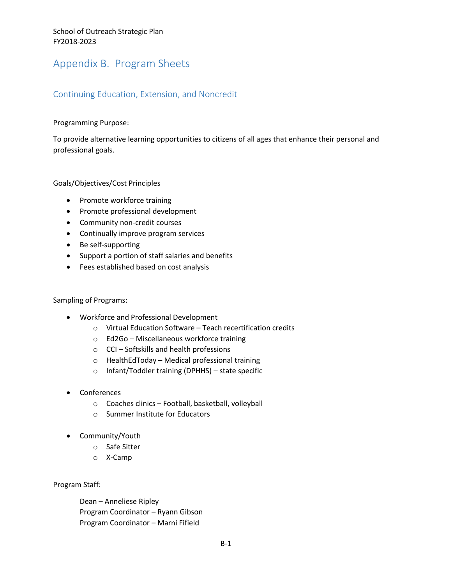# <span id="page-31-0"></span>Appendix B. Program Sheets

# <span id="page-31-1"></span>Continuing Education, Extension, and Noncredit

#### Programming Purpose:

To provide alternative learning opportunities to citizens of all ages that enhance their personal and professional goals.

Goals/Objectives/Cost Principles

- Promote workforce training
- Promote professional development
- Community non-credit courses
- Continually improve program services
- Be self-supporting
- Support a portion of staff salaries and benefits
- Fees established based on cost analysis

#### Sampling of Programs:

- Workforce and Professional Development
	- o Virtual Education Software Teach recertification credits
	- o Ed2Go Miscellaneous workforce training
	- o CCI Softskills and health professions
	- o HealthEdToday Medical professional training
	- o Infant/Toddler training (DPHHS) state specific
- Conferences
	- o Coaches clinics Football, basketball, volleyball
	- o Summer Institute for Educators
- Community/Youth
	- o Safe Sitter
	- o X-Camp

Program Staff:

Dean – Anneliese Ripley Program Coordinator – Ryann Gibson Program Coordinator – Marni Fifield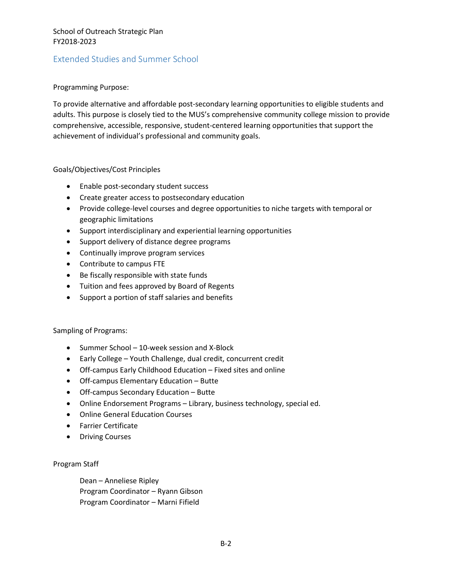# <span id="page-32-0"></span>Extended Studies and Summer School

#### Programming Purpose:

To provide alternative and affordable post-secondary learning opportunities to eligible students and adults. This purpose is closely tied to the MUS's comprehensive community college mission to provide comprehensive, accessible, responsive, student-centered learning opportunities that support the achievement of individual's professional and community goals.

#### Goals/Objectives/Cost Principles

- Enable post-secondary student success
- Create greater access to postsecondary education
- Provide college-level courses and degree opportunities to niche targets with temporal or geographic limitations
- Support interdisciplinary and experiential learning opportunities
- Support delivery of distance degree programs
- Continually improve program services
- Contribute to campus FTE
- Be fiscally responsible with state funds
- Tuition and fees approved by Board of Regents
- Support a portion of staff salaries and benefits

#### Sampling of Programs:

- Summer School 10-week session and X-Block
- Early College Youth Challenge, dual credit, concurrent credit
- Off-campus Early Childhood Education Fixed sites and online
- Off-campus Elementary Education Butte
- Off-campus Secondary Education Butte
- Online Endorsement Programs Library, business technology, special ed.
- Online General Education Courses
- Farrier Certificate
- Driving Courses

#### Program Staff

Dean – Anneliese Ripley Program Coordinator – Ryann Gibson Program Coordinator – Marni Fifield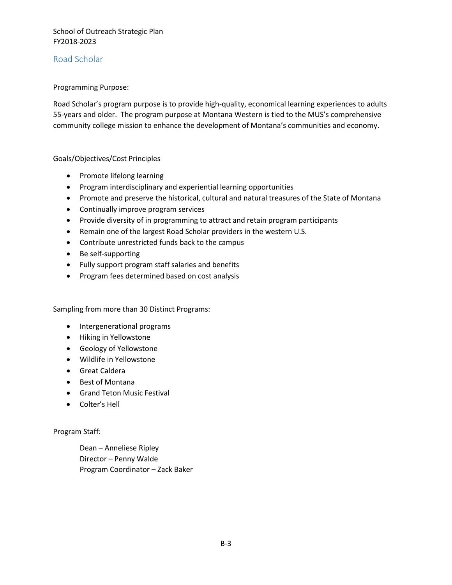# <span id="page-33-0"></span>Road Scholar

#### Programming Purpose:

Road Scholar's program purpose is to provide high-quality, economical learning experiences to adults 55-years and older. The program purpose at Montana Western is tied to the MUS's comprehensive community college mission to enhance the development of Montana's communities and economy.

#### Goals/Objectives/Cost Principles

- Promote lifelong learning
- Program interdisciplinary and experiential learning opportunities
- Promote and preserve the historical, cultural and natural treasures of the State of Montana
- Continually improve program services
- Provide diversity of in programming to attract and retain program participants
- Remain one of the largest Road Scholar providers in the western U.S.
- Contribute unrestricted funds back to the campus
- Be self-supporting
- Fully support program staff salaries and benefits
- Program fees determined based on cost analysis

Sampling from more than 30 Distinct Programs:

- Intergenerational programs
- Hiking in Yellowstone
- Geology of Yellowstone
- Wildlife in Yellowstone
- Great Caldera
- Best of Montana
- **•** Grand Teton Music Festival
- Colter's Hell

Program Staff:

Dean – Anneliese Ripley Director – Penny Walde Program Coordinator – Zack Baker